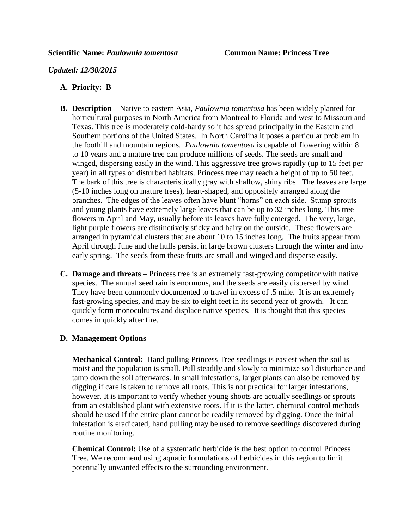## *Updated: 12/30/2015*

## **A. Priority: B**

- **B. Description –** Native to eastern Asia, *Paulownia tomentosa* has been widely planted for horticultural purposes in North America from Montreal to Florida and west to Missouri and Texas. This tree is moderately cold-hardy so it has spread principally in the Eastern and Southern portions of the United States. In North Carolina it poses a particular problem in the foothill and mountain regions. *Paulownia tomentosa* is capable of flowering within 8 to 10 years and a mature tree can produce millions of seeds. The seeds are small and winged, dispersing easily in the wind. This aggressive tree grows rapidly (up to 15 feet per year) in all types of disturbed habitats. Princess tree may reach a height of up to 50 feet. The bark of this tree is characteristically gray with shallow, shiny ribs. The leaves are large (5-10 inches long on mature trees), heart-shaped, and oppositely arranged along the branches. The edges of the leaves often have blunt "horns" on each side. Stump sprouts and young plants have extremely large leaves that can be up to 32 inches long. This tree flowers in April and May, usually before its leaves have fully emerged. The very, large, light purple flowers are distinctively sticky and hairy on the outside. These flowers are arranged in pyramidal clusters that are about 10 to 15 inches long. The fruits appear from April through June and the hulls persist in large brown clusters through the winter and into early spring. The seeds from these fruits are small and winged and disperse easily.
- **C. Damage and threats –** Princess tree is an extremely fast-growing competitor with native species. The annual seed rain is enormous, and the seeds are easily dispersed by wind. They have been commonly documented to travel in excess of .5 mile. It is an extremely fast-growing species, and may be six to eight feet in its second year of growth. It can quickly form monocultures and displace native species. It is thought that this species comes in quickly after fire.

## **D. Management Options**

**Mechanical Control:** Hand pulling Princess Tree seedlings is easiest when the soil is moist and the population is small. Pull steadily and slowly to minimize soil disturbance and tamp down the soil afterwards. In small infestations, larger plants can also be removed by digging if care is taken to remove all roots. This is not practical for larger infestations, however. It is important to verify whether young shoots are actually seedlings or sprouts from an established plant with extensive roots. If it is the latter, chemical control methods should be used if the entire plant cannot be readily removed by digging. Once the initial infestation is eradicated, hand pulling may be used to remove seedlings discovered during routine monitoring.

**Chemical Control:** Use of a systematic herbicide is the best option to control Princess Tree. We recommend using aquatic formulations of herbicides in this region to limit potentially unwanted effects to the surrounding environment.